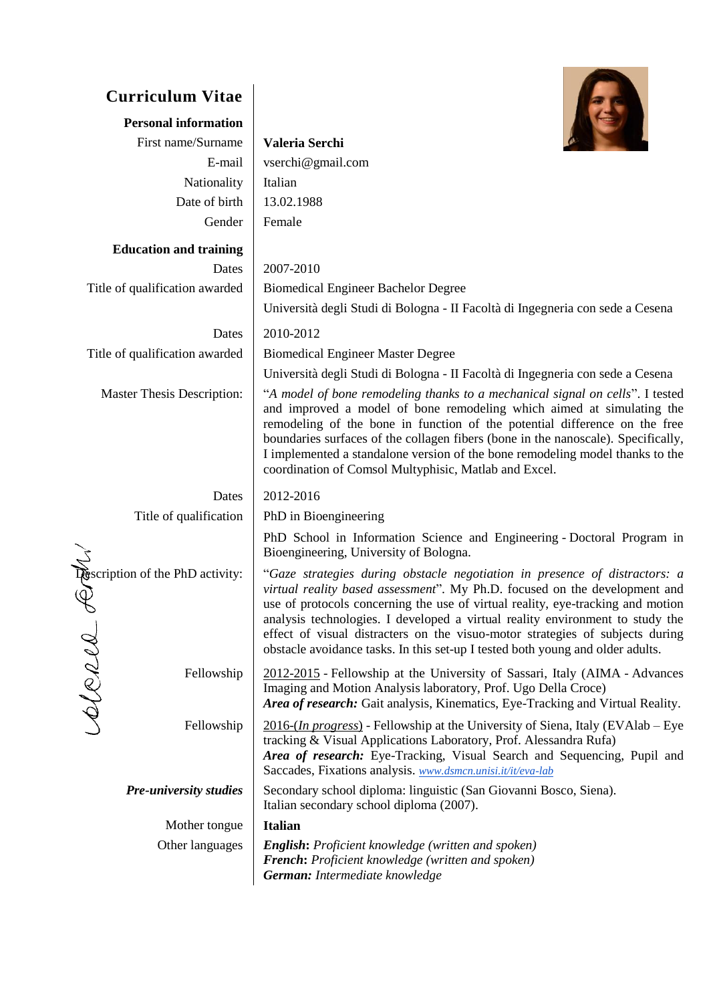| <b>Curriculum Vitae</b>               |                                                                                                                                                                                                                                                                                                                                                                                                                                                                                                 |
|---------------------------------------|-------------------------------------------------------------------------------------------------------------------------------------------------------------------------------------------------------------------------------------------------------------------------------------------------------------------------------------------------------------------------------------------------------------------------------------------------------------------------------------------------|
| <b>Personal information</b>           |                                                                                                                                                                                                                                                                                                                                                                                                                                                                                                 |
| First name/Surname                    | Valeria Serchi                                                                                                                                                                                                                                                                                                                                                                                                                                                                                  |
| E-mail                                | vserchi@gmail.com                                                                                                                                                                                                                                                                                                                                                                                                                                                                               |
| Nationality                           | Italian                                                                                                                                                                                                                                                                                                                                                                                                                                                                                         |
| Date of birth                         | 13.02.1988                                                                                                                                                                                                                                                                                                                                                                                                                                                                                      |
| Gender                                | Female                                                                                                                                                                                                                                                                                                                                                                                                                                                                                          |
| <b>Education and training</b>         |                                                                                                                                                                                                                                                                                                                                                                                                                                                                                                 |
| Dates                                 | 2007-2010                                                                                                                                                                                                                                                                                                                                                                                                                                                                                       |
| Title of qualification awarded        | <b>Biomedical Engineer Bachelor Degree</b>                                                                                                                                                                                                                                                                                                                                                                                                                                                      |
|                                       | Università degli Studi di Bologna - Il Facoltà di Ingegneria con sede a Cesena                                                                                                                                                                                                                                                                                                                                                                                                                  |
| Dates                                 | 2010-2012                                                                                                                                                                                                                                                                                                                                                                                                                                                                                       |
| Title of qualification awarded        | <b>Biomedical Engineer Master Degree</b>                                                                                                                                                                                                                                                                                                                                                                                                                                                        |
|                                       | Università degli Studi di Bologna - Il Facoltà di Ingegneria con sede a Cesena                                                                                                                                                                                                                                                                                                                                                                                                                  |
| <b>Master Thesis Description:</b>     | "A model of bone remodeling thanks to a mechanical signal on cells". I tested<br>and improved a model of bone remodeling which aimed at simulating the<br>remodeling of the bone in function of the potential difference on the free<br>boundaries surfaces of the collagen fibers (bone in the nanoscale). Specifically,<br>I implemented a standalone version of the bone remodeling model thanks to the<br>coordination of Comsol Multyphisic, Matlab and Excel.                             |
| Dates                                 | 2012-2016                                                                                                                                                                                                                                                                                                                                                                                                                                                                                       |
| Title of qualification                | PhD in Bioengineering                                                                                                                                                                                                                                                                                                                                                                                                                                                                           |
|                                       | PhD School in Information Science and Engineering - Doctoral Program in<br>Bioengineering, University of Bologna.                                                                                                                                                                                                                                                                                                                                                                               |
| Description of the PhD activity:<br>P | "Gaze strategies during obstacle negotiation in presence of distractors: a<br>virtual reality based assessment". My Ph.D. focused on the development and<br>use of protocols concerning the use of virtual reality, eye-tracking and motion<br>analysis technologies. I developed a virtual reality environment to study the<br>effect of visual distracters on the visuo-motor strategies of subjects during<br>obstacle avoidance tasks. In this set-up I tested both young and older adults. |
| spond<br>Fellowship                   | 2012-2015 - Fellowship at the University of Sassari, Italy (AIMA - Advances<br>Imaging and Motion Analysis laboratory, Prof. Ugo Della Croce)<br>Area of research: Gait analysis, Kinematics, Eye-Tracking and Virtual Reality.                                                                                                                                                                                                                                                                 |
| Fellowship                            | $\frac{2016-(In progress)}{2016-(In progress)}$ - Fellowship at the University of Siena, Italy (EVAlab – Eye<br>tracking & Visual Applications Laboratory, Prof. Alessandra Rufa)<br>Area of research: Eye-Tracking, Visual Search and Sequencing, Pupil and<br>Saccades, Fixations analysis. www.dsmcn.unisi.it/it/eva-lab                                                                                                                                                                     |
| <b>Pre-university studies</b>         | Secondary school diploma: linguistic (San Giovanni Bosco, Siena).<br>Italian secondary school diploma (2007).                                                                                                                                                                                                                                                                                                                                                                                   |
| Mother tongue                         | <b>Italian</b>                                                                                                                                                                                                                                                                                                                                                                                                                                                                                  |
| Other languages                       | <b>English:</b> Proficient knowledge (written and spoken)<br><b>French:</b> Proficient knowledge (written and spoken)<br>German: Intermediate knowledge                                                                                                                                                                                                                                                                                                                                         |
|                                       |                                                                                                                                                                                                                                                                                                                                                                                                                                                                                                 |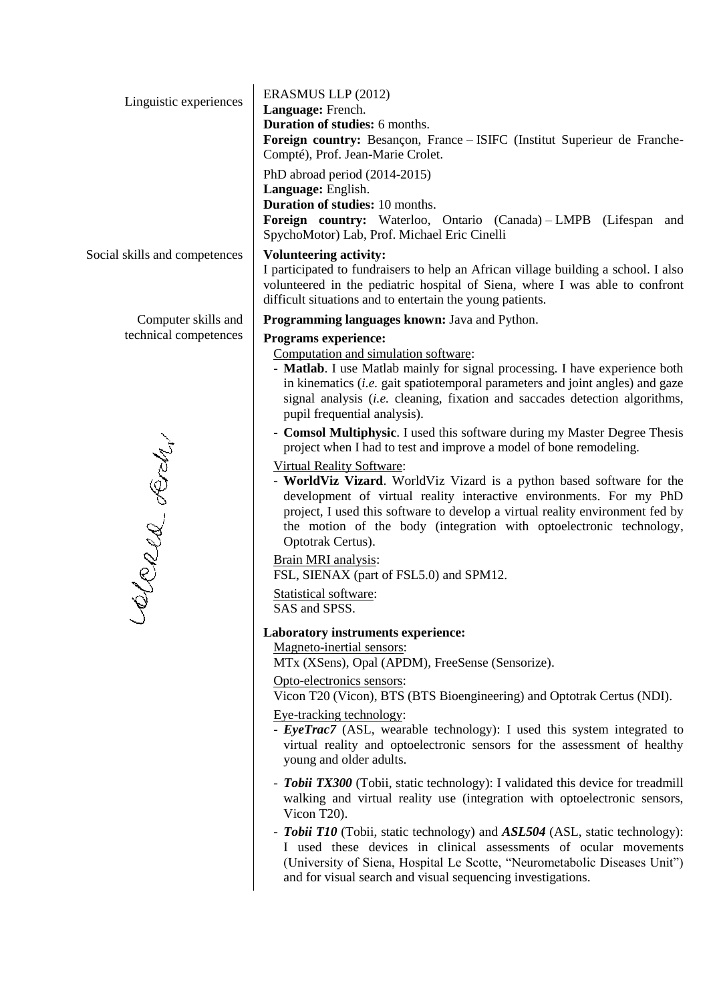| Linguistic experiences        | ERASMUS LLP (2012)<br>Language: French.<br>Duration of studies: 6 months.<br>Foreign country: Besançon, France - ISIFC (Institut Superieur de Franche-<br>Compté), Prof. Jean-Marie Crolet.                                                                                                                                                                     |
|-------------------------------|-----------------------------------------------------------------------------------------------------------------------------------------------------------------------------------------------------------------------------------------------------------------------------------------------------------------------------------------------------------------|
|                               | PhD abroad period (2014-2015)<br>Language: English.<br><b>Duration of studies: 10 months.</b><br>Foreign country: Waterloo, Ontario (Canada) - LMPB (Lifespan and<br>SpychoMotor) Lab, Prof. Michael Eric Cinelli                                                                                                                                               |
| Social skills and competences | <b>Volunteering activity:</b><br>I participated to fundraisers to help an African village building a school. I also<br>volunteered in the pediatric hospital of Siena, where I was able to confront<br>difficult situations and to entertain the young patients.                                                                                                |
| Computer skills and           | Programming languages known: Java and Python.                                                                                                                                                                                                                                                                                                                   |
| technical competences         | <b>Programs experience:</b>                                                                                                                                                                                                                                                                                                                                     |
|                               | Computation and simulation software:<br>- Matlab. I use Matlab mainly for signal processing. I have experience both<br>in kinematics (i.e. gait spatiotemporal parameters and joint angles) and gaze<br>signal analysis (i.e. cleaning, fixation and saccades detection algorithms,<br>pupil frequential analysis).                                             |
|                               | - Comsol Multiphysic. I used this software during my Master Degree Thesis<br>project when I had to test and improve a model of bone remodeling.                                                                                                                                                                                                                 |
| Clerca Lody                   | <b>Virtual Reality Software:</b><br>- World Viz Vizard. World Viz Vizard is a python based software for the<br>development of virtual reality interactive environments. For my PhD<br>project, I used this software to develop a virtual reality environment fed by<br>the motion of the body (integration with optoelectronic technology,<br>Optotrak Certus). |
|                               | Brain MRI analysis:<br>FSL, SIENAX (part of FSL5.0) and SPM12.                                                                                                                                                                                                                                                                                                  |
|                               | Statistical software:<br>SAS and SPSS.                                                                                                                                                                                                                                                                                                                          |
|                               | Laboratory instruments experience:<br>Magneto-inertial sensors:<br>MTx (XSens), Opal (APDM), FreeSense (Sensorize).                                                                                                                                                                                                                                             |
|                               | Opto-electronics sensors:<br>Vicon T20 (Vicon), BTS (BTS Bioengineering) and Optotrak Certus (NDI).                                                                                                                                                                                                                                                             |
|                               | Eye-tracking technology:<br>- <b>EyeTrac7</b> (ASL, wearable technology): I used this system integrated to<br>virtual reality and optoelectronic sensors for the assessment of healthy<br>young and older adults.                                                                                                                                               |
|                               | - Tobii TX300 (Tobii, static technology): I validated this device for treadmill<br>walking and virtual reality use (integration with optoelectronic sensors,<br>Vicon T20).                                                                                                                                                                                     |
|                               | - Tobii T10 (Tobii, static technology) and ASL504 (ASL, static technology):<br>I used these devices in clinical assessments of ocular movements<br>(University of Siena, Hospital Le Scotte, "Neurometabolic Diseases Unit")                                                                                                                                    |

and for visual search and visual sequencing investigations.